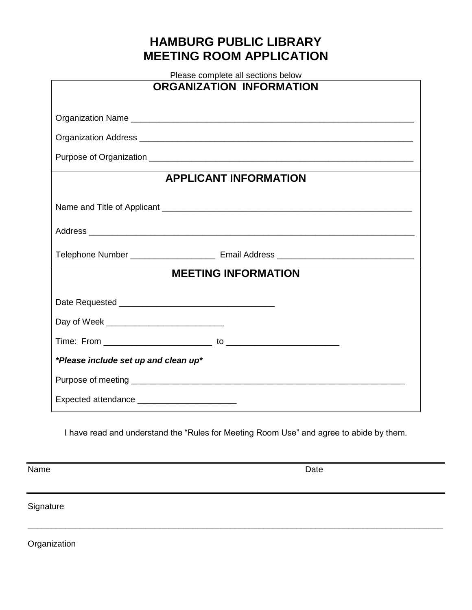## **HAMBURG PUBLIC LIBRARY MEETING ROOM APPLICATION**

| Please complete all sections below           |  |  |
|----------------------------------------------|--|--|
| <b>ORGANIZATION INFORMATION</b>              |  |  |
|                                              |  |  |
|                                              |  |  |
|                                              |  |  |
| <b>APPLICANT INFORMATION</b>                 |  |  |
|                                              |  |  |
|                                              |  |  |
|                                              |  |  |
| <b>MEETING INFORMATION</b>                   |  |  |
|                                              |  |  |
|                                              |  |  |
|                                              |  |  |
| *Please include set up and clean up*         |  |  |
|                                              |  |  |
| Expected attendance ________________________ |  |  |

I have read and understand the "Rules for Meeting Room Use" and agree to abide by them.

**\_\_\_\_\_\_\_\_\_\_\_\_\_\_\_\_\_\_\_\_\_\_\_\_\_\_\_\_\_\_\_\_\_\_\_\_\_\_\_\_\_\_\_\_\_\_\_\_\_\_\_\_\_\_\_\_\_\_\_\_\_\_\_\_\_\_\_\_\_\_\_\_\_\_\_\_\_\_\_\_\_\_\_\_\_\_\_\_**

Name Date **Date** 

**Signature** 

**Organization**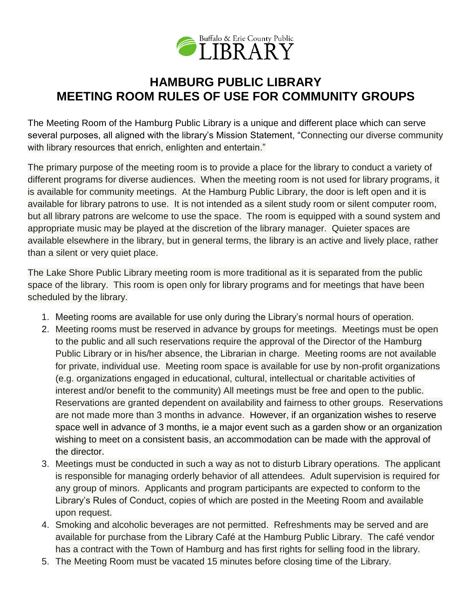

## **HAMBURG PUBLIC LIBRARY MEETING ROOM RULES OF USE FOR COMMUNITY GROUPS**

The Meeting Room of the Hamburg Public Library is a unique and different place which can serve several purposes, all aligned with the library's Mission Statement, "Connecting our diverse community with library resources that enrich, enlighten and entertain."

The primary purpose of the meeting room is to provide a place for the library to conduct a variety of different programs for diverse audiences. When the meeting room is not used for library programs, it is available for community meetings. At the Hamburg Public Library, the door is left open and it is available for library patrons to use. It is not intended as a silent study room or silent computer room, but all library patrons are welcome to use the space. The room is equipped with a sound system and appropriate music may be played at the discretion of the library manager. Quieter spaces are available elsewhere in the library, but in general terms, the library is an active and lively place, rather than a silent or very quiet place.

The Lake Shore Public Library meeting room is more traditional as it is separated from the public space of the library. This room is open only for library programs and for meetings that have been scheduled by the library.

- 1. Meeting rooms are available for use only during the Library's normal hours of operation.
- 2. Meeting rooms must be reserved in advance by groups for meetings. Meetings must be open to the public and all such reservations require the approval of the Director of the Hamburg Public Library or in his/her absence, the Librarian in charge. Meeting rooms are not available for private, individual use. Meeting room space is available for use by non-profit organizations (e.g. organizations engaged in educational, cultural, intellectual or charitable activities of interest and/or benefit to the community) All meetings must be free and open to the public. Reservations are granted dependent on availability and fairness to other groups. Reservations are not made more than 3 months in advance. However, if an organization wishes to reserve space well in advance of 3 months, ie a major event such as a garden show or an organization wishing to meet on a consistent basis, an accommodation can be made with the approval of the director.
- 3. Meetings must be conducted in such a way as not to disturb Library operations. The applicant is responsible for managing orderly behavior of all attendees. Adult supervision is required for any group of minors. Applicants and program participants are expected to conform to the Library's Rules of Conduct, copies of which are posted in the Meeting Room and available upon request.
- 4. Smoking and alcoholic beverages are not permitted. Refreshments may be served and are available for purchase from the Library Café at the Hamburg Public Library. The café vendor has a contract with the Town of Hamburg and has first rights for selling food in the library.
- 5. The Meeting Room must be vacated 15 minutes before closing time of the Library.